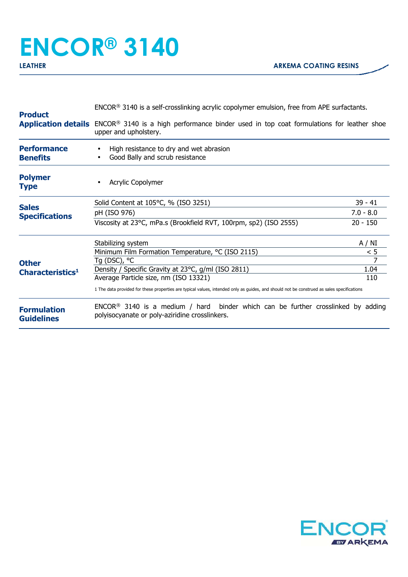## **ENCOR® 3140**

| <b>Product</b>                               | $ENCOR®$ 3140 is a self-crosslinking acrylic copolymer emulsion, free from APE surfactants.                                                             |             |
|----------------------------------------------|---------------------------------------------------------------------------------------------------------------------------------------------------------|-------------|
|                                              | <b>Application details</b> ENCOR <sup>®</sup> 3140 is a high performance binder used in top coat formulations for leather shoe<br>upper and upholstery. |             |
| <b>Performance</b><br><b>Benefits</b>        | High resistance to dry and wet abrasion<br>Good Bally and scrub resistance                                                                              |             |
| <b>Polymer</b><br><b>Type</b>                | <b>Acrylic Copolymer</b>                                                                                                                                |             |
|                                              | Solid Content at 105°C, % (ISO 3251)                                                                                                                    | $39 - 41$   |
| <b>Sales</b><br><b>Specifications</b>        | pH (ISO 976)                                                                                                                                            | $7.0 - 8.0$ |
|                                              | Viscosity at 23°C, mPa.s (Brookfield RVT, 100rpm, sp2) (ISO 2555)                                                                                       | $20 - 150$  |
| <b>Other</b><br>Characteristics <sup>1</sup> | Stabilizing system                                                                                                                                      | A / NI      |
|                                              | Minimum Film Formation Temperature, °C (ISO 2115)                                                                                                       | < 5         |
|                                              | Tg (DSC), °C                                                                                                                                            |             |
|                                              | Density / Specific Gravity at 23°C, g/ml (ISO 2811)<br>Average Particle size, nm (ISO 13321)                                                            | 1.04<br>110 |
|                                              | 1 The data provided for these properties are typical values, intended only as guides, and should not be construed as sales specifications               |             |
| <b>Formulation</b><br><b>Guidelines</b>      | $ENCOR®$ 3140 is a medium / hard binder which can be further crosslinked by adding<br>polyisocyanate or poly-aziridine crosslinkers.                    |             |